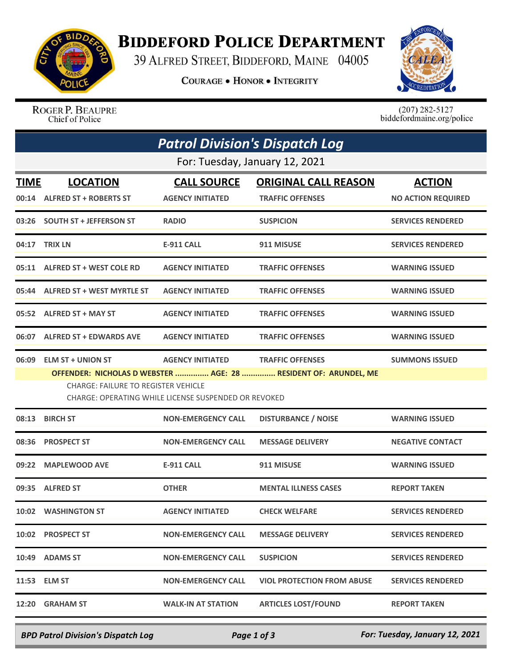

## **BIDDEFORD POLICE DEPARTMENT**

39 ALFRED STREET, BIDDEFORD, MAINE 04005

**COURAGE . HONOR . INTEGRITY** 



ROGER P. BEAUPRE Chief of Police

 $(207)$  282-5127<br>biddefordmaine.org/police

| <b>Patrol Division's Dispatch Log</b> |                                                                                                                                                                                                                                                                                  |                                               |                                                        |                                            |  |  |  |
|---------------------------------------|----------------------------------------------------------------------------------------------------------------------------------------------------------------------------------------------------------------------------------------------------------------------------------|-----------------------------------------------|--------------------------------------------------------|--------------------------------------------|--|--|--|
| For: Tuesday, January 12, 2021        |                                                                                                                                                                                                                                                                                  |                                               |                                                        |                                            |  |  |  |
| <b>TIME</b>                           | <b>LOCATION</b><br>00:14 ALFRED ST + ROBERTS ST                                                                                                                                                                                                                                  | <b>CALL SOURCE</b><br><b>AGENCY INITIATED</b> | <b>ORIGINAL CALL REASON</b><br><b>TRAFFIC OFFENSES</b> | <b>ACTION</b><br><b>NO ACTION REQUIRED</b> |  |  |  |
|                                       | 03:26 SOUTH ST + JEFFERSON ST                                                                                                                                                                                                                                                    | <b>RADIO</b>                                  | <b>SUSPICION</b>                                       | <b>SERVICES RENDERED</b>                   |  |  |  |
|                                       | 04:17 TRIX LN                                                                                                                                                                                                                                                                    | <b>E-911 CALL</b>                             | 911 MISUSE                                             | <b>SERVICES RENDERED</b>                   |  |  |  |
|                                       | 05:11 ALFRED ST + WEST COLE RD                                                                                                                                                                                                                                                   | <b>AGENCY INITIATED</b>                       | <b>TRAFFIC OFFENSES</b>                                | <b>WARNING ISSUED</b>                      |  |  |  |
|                                       | 05:44 ALFRED ST + WEST MYRTLE ST                                                                                                                                                                                                                                                 | <b>AGENCY INITIATED</b>                       | <b>TRAFFIC OFFENSES</b>                                | <b>WARNING ISSUED</b>                      |  |  |  |
|                                       | 05:52 ALFRED ST + MAY ST                                                                                                                                                                                                                                                         | <b>AGENCY INITIATED</b>                       | <b>TRAFFIC OFFENSES</b>                                | <b>WARNING ISSUED</b>                      |  |  |  |
|                                       | 06:07 ALFRED ST + EDWARDS AVE                                                                                                                                                                                                                                                    | <b>AGENCY INITIATED</b>                       | <b>TRAFFIC OFFENSES</b>                                | <b>WARNING ISSUED</b>                      |  |  |  |
| 06:09                                 | <b>ELM ST + UNION ST</b><br><b>AGENCY INITIATED</b><br><b>TRAFFIC OFFENSES</b><br><b>SUMMONS ISSUED</b><br>OFFENDER: NICHOLAS D WEBSTER  AGE: 28  RESIDENT OF: ARUNDEL, ME<br><b>CHARGE: FAILURE TO REGISTER VEHICLE</b><br>CHARGE: OPERATING WHILE LICENSE SUSPENDED OR REVOKED |                                               |                                                        |                                            |  |  |  |
| 08:13                                 | <b>BIRCH ST</b>                                                                                                                                                                                                                                                                  | <b>NON-EMERGENCY CALL</b>                     | <b>DISTURBANCE / NOISE</b>                             | <b>WARNING ISSUED</b>                      |  |  |  |
| 08:36                                 | <b>PROSPECT ST</b>                                                                                                                                                                                                                                                               | <b>NON-EMERGENCY CALL</b>                     | <b>MESSAGE DELIVERY</b>                                | <b>NEGATIVE CONTACT</b>                    |  |  |  |
| 09:22                                 | <b>MAPLEWOOD AVE</b>                                                                                                                                                                                                                                                             | <b>E-911 CALL</b>                             | 911 MISUSE                                             | <b>WARNING ISSUED</b>                      |  |  |  |
| 09:35                                 | <b>ALFRED ST</b>                                                                                                                                                                                                                                                                 | <b>OTHER</b>                                  | <b>MENTAL ILLNESS CASES</b>                            | <b>REPORT TAKEN</b>                        |  |  |  |
|                                       | 10:02 WASHINGTON ST                                                                                                                                                                                                                                                              | <b>AGENCY INITIATED</b>                       | <b>CHECK WELFARE</b>                                   | <b>SERVICES RENDERED</b>                   |  |  |  |
|                                       | 10:02 PROSPECT ST                                                                                                                                                                                                                                                                | <b>NON-EMERGENCY CALL</b>                     | <b>MESSAGE DELIVERY</b>                                | <b>SERVICES RENDERED</b>                   |  |  |  |
|                                       | 10:49 ADAMS ST                                                                                                                                                                                                                                                                   | <b>NON-EMERGENCY CALL</b>                     | <b>SUSPICION</b>                                       | <b>SERVICES RENDERED</b>                   |  |  |  |
|                                       | 11:53 ELM ST                                                                                                                                                                                                                                                                     | <b>NON-EMERGENCY CALL</b>                     | <b>VIOL PROTECTION FROM ABUSE</b>                      | <b>SERVICES RENDERED</b>                   |  |  |  |
| 12:20                                 | <b>GRAHAM ST</b>                                                                                                                                                                                                                                                                 | <b>WALK-IN AT STATION</b>                     | <b>ARTICLES LOST/FOUND</b>                             | <b>REPORT TAKEN</b>                        |  |  |  |

*BPD Patrol Division's Dispatch Log Page 1 of 3 For: Tuesday, January 12, 2021*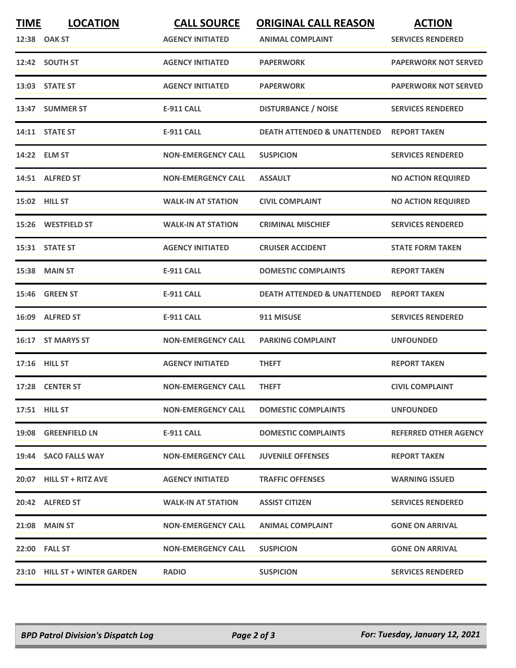| <b>TIME</b> | <b>LOCATION</b>               | <b>CALL SOURCE</b>        | <b>ORIGINAL CALL REASON</b>            | <b>ACTION</b>                |
|-------------|-------------------------------|---------------------------|----------------------------------------|------------------------------|
|             | 12:38 OAK ST                  | <b>AGENCY INITIATED</b>   | <b>ANIMAL COMPLAINT</b>                | <b>SERVICES RENDERED</b>     |
|             | 12:42 SOUTH ST                | <b>AGENCY INITIATED</b>   | <b>PAPERWORK</b>                       | <b>PAPERWORK NOT SERVED</b>  |
|             | 13:03 STATE ST                | <b>AGENCY INITIATED</b>   | <b>PAPERWORK</b>                       | <b>PAPERWORK NOT SERVED</b>  |
|             | 13:47 SUMMER ST               | <b>E-911 CALL</b>         | <b>DISTURBANCE / NOISE</b>             | <b>SERVICES RENDERED</b>     |
|             | 14:11 STATE ST                | <b>E-911 CALL</b>         | <b>DEATH ATTENDED &amp; UNATTENDED</b> | <b>REPORT TAKEN</b>          |
|             | 14:22 ELM ST                  | <b>NON-EMERGENCY CALL</b> | <b>SUSPICION</b>                       | <b>SERVICES RENDERED</b>     |
|             | 14:51 ALFRED ST               | <b>NON-EMERGENCY CALL</b> | <b>ASSAULT</b>                         | <b>NO ACTION REQUIRED</b>    |
|             | 15:02 HILL ST                 | <b>WALK-IN AT STATION</b> | <b>CIVIL COMPLAINT</b>                 | <b>NO ACTION REQUIRED</b>    |
|             | 15:26 WESTFIELD ST            | <b>WALK-IN AT STATION</b> | <b>CRIMINAL MISCHIEF</b>               | <b>SERVICES RENDERED</b>     |
|             | 15:31 STATE ST                | <b>AGENCY INITIATED</b>   | <b>CRUISER ACCIDENT</b>                | <b>STATE FORM TAKEN</b>      |
|             | 15:38 MAIN ST                 | <b>E-911 CALL</b>         | <b>DOMESTIC COMPLAINTS</b>             | <b>REPORT TAKEN</b>          |
|             | 15:46 GREEN ST                | <b>E-911 CALL</b>         | DEATH ATTENDED & UNATTENDED            | <b>REPORT TAKEN</b>          |
|             | 16:09 ALFRED ST               | <b>E-911 CALL</b>         | 911 MISUSE                             | <b>SERVICES RENDERED</b>     |
|             | 16:17 ST MARYS ST             | <b>NON-EMERGENCY CALL</b> | <b>PARKING COMPLAINT</b>               | <b>UNFOUNDED</b>             |
|             | 17:16 HILL ST                 | <b>AGENCY INITIATED</b>   | <b>THEFT</b>                           | <b>REPORT TAKEN</b>          |
|             | 17:28 CENTER ST               | <b>NON-EMERGENCY CALL</b> | <b>THEFT</b>                           | <b>CIVIL COMPLAINT</b>       |
|             | <b>17:51 HILL ST</b>          | <b>NON-EMERGENCY CALL</b> | <b>DOMESTIC COMPLAINTS</b>             | <b>UNFOUNDED</b>             |
|             | 19:08 GREENFIELD LN           | E-911 CALL                | <b>DOMESTIC COMPLAINTS</b>             | <b>REFERRED OTHER AGENCY</b> |
|             | 19:44 SACO FALLS WAY          | <b>NON-EMERGENCY CALL</b> | <b>JUVENILE OFFENSES</b>               | <b>REPORT TAKEN</b>          |
|             | 20:07 HILL ST + RITZ AVE      | <b>AGENCY INITIATED</b>   | <b>TRAFFIC OFFENSES</b>                | <b>WARNING ISSUED</b>        |
|             | 20:42 ALFRED ST               | <b>WALK-IN AT STATION</b> | <b>ASSIST CITIZEN</b>                  | <b>SERVICES RENDERED</b>     |
|             | <b>21:08 MAIN ST</b>          | <b>NON-EMERGENCY CALL</b> | <b>ANIMAL COMPLAINT</b>                | <b>GONE ON ARRIVAL</b>       |
|             | <b>22:00 FALL ST</b>          | <b>NON-EMERGENCY CALL</b> | <b>SUSPICION</b>                       | <b>GONE ON ARRIVAL</b>       |
|             | 23:10 HILL ST + WINTER GARDEN | <b>RADIO</b>              | <b>SUSPICION</b>                       | <b>SERVICES RENDERED</b>     |